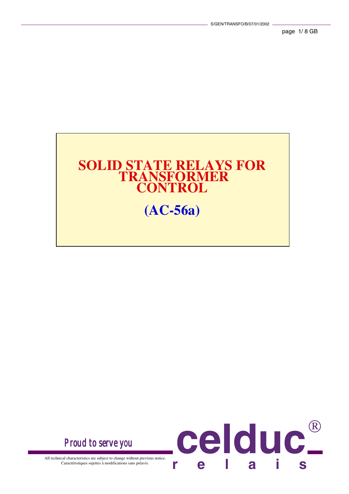## **SOLID STATE RELAYS FOR TRANSFORMER CONTROL (AC-56a)**

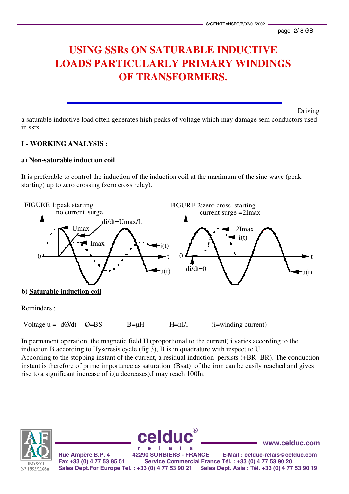## **USING SSRs ON SATURABLE INDUCTIVE LOADS PARTICULARLY PRIMARY WINDINGS OF TRANSFORMERS.**

**Driving** 

a saturable inductive load often generates high peaks of voltage which may damage sem conductors used in ssrs.

### **I - WORKING ANALYSIS :**

### **a) Non-saturable induction coil**

It is preferable to control the induction of the induction coil at the maximum of the sine wave (peak starting) up to zero crossing (zero cross relay).



In permanent operation, the magnetic field H (proportional to the current) i varies according to the induction B according to Hyseresis cycle (fig 3), B is in quadrature with respect to U. According to the stopping instant of the current, a residual induction persists (+BR -BR). The conduction instant is therefore of prime importance as saturation (Bsat) of the iron can be easily reached and gives rise to a significant increase of i.(u decreases).I may reach 100In.

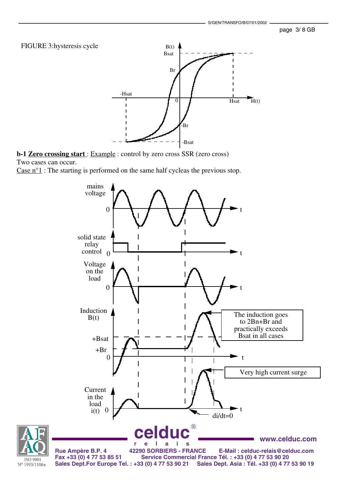### page 3/ 8 GB





**b-1 Zero crossing start**: Example: control by zero cross SSR (zero cross) Two cases can occur.

Case  $n^{\circ}$ 1 : The starting is performed on the same half cycleas the previous stop.

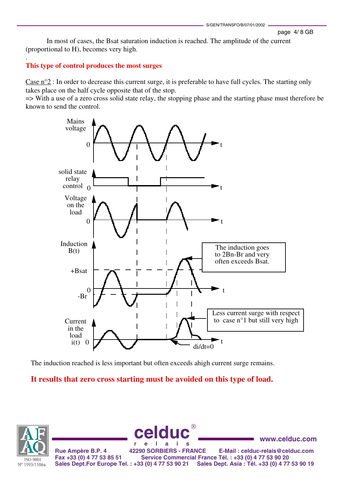In most of cases, the Bsat saturation induction is reached. The amplitude of the current (proportional to H), becomes very high.

### . **This type of control produces the most surges**

Case n°2 : In order to decrease this current surge, it is preferable to have full cycles. The starting only takes place on the half cycle opposite that of the stop.

=> With a use of a zero cross solid state relay, the stopping phase and the starting phase must therefore be known to send the control.



The induction reached is less important but often exceeds ahigh current surge remains.

**It results that zero cross starting must be avoided on this type of load.**





**www.celduc.com**

**Rue Ampère B.P. 4 42290 SORBIERS - FRANCE E-Mail : celduc-relais@celduc.com Fax +33 (0) 4 77 53 85 51 Service Commercial France Tél. : +33 (0) 4 77 53 90 20 Sales Dept.For Europe Tel. : +33 (0) 4 77 53 90 21 Sales Dept. Asia : Tél. +33 (0) 4 77 53 90 19**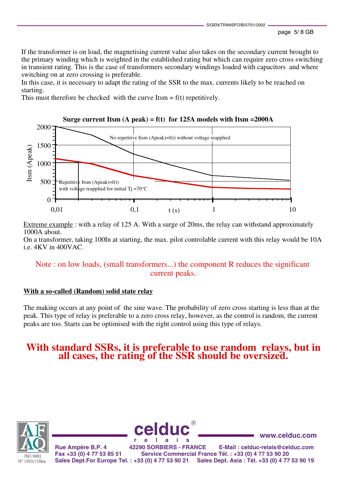If the transformer is on load, the magnetising current value also takes on the secondary current brought to the primary winding which is weighted in the established rating but which can require zero cross switching in transient rating. This is the case of transformers secondary windings loaded with capacitors and where switching on at zero crossing is preferable.

In this case, it is necessary to adapt the rating of the SSR to the max. currents likely to be reached on starting.

This must therefore be checked with the curve  $It = f(t)$  repetitively.



Extreme example : with a relay of 125 A. With a surge of 20ms, the relay can withstand approximately 1000A about.

On a transformer, taking 100In at starting, the max. pilot controlable current with this relay would be 10A i.e. 4KV in 400VAC.

### Note : on low loads, (small transformers...) the component R reduces the significant current peaks.

### **With a so-called (Random) solid state relay**

The making occurs at any point of the sine wave. The probability of zero cross starting is less than at the peak. This type of relay is preferable to a zero cross relay, however, as the control is random, the current peaks are too. Starts can be optimised with the right control using this type of relays.

# **With standard SSRs, it is preferable to use random relays, but in all cases, the rating of the SSR should be oversized.**





**www.celduc.com**

**Rue Ampère B.P. 4 42290 SORBIERS - FRANCE E-Mail : celduc-relais@celduc.com Fax +33 (0) 4 77 53 85 51 Service Commercial France Tél. : +33 (0) 4 77 53 90 20 Sales Dept.For Europe Tel. : +33 (0) 4 77 53 90 21 Sales Dept. Asia : Tél. +33 (0) 4 77 53 90 19**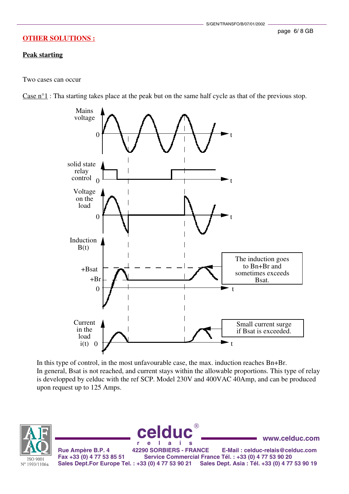### page 6/ 8 GB

**OTHER SOLUTIONS :**

### **Peak starting**

Two cases can occur

Case n°1 : Tha starting takes place at the peak but on the same half cycle as that of the previous stop.



In this type of control, in the most unfavourable case, the max. induction reaches Bn+Br. In general, Bsat is not reached, and current stays within the allowable proportions. This type of relay is developped by celduc with the ref SCP. Model 230V and 400VAC 40Amp, and can be produced upon request up to 125 Amps.

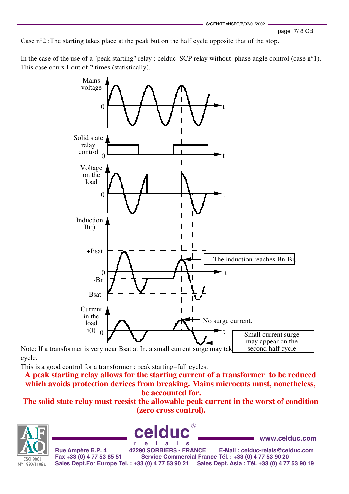Case n°2 :The starting takes place at the peak but on the half cycle opposite that of the stop.

In the case of the use of a "peak starting" relay : celduc SCP relay without phase angle control (case n<sup>o</sup>1). This case ocurs 1 out of 2 times (statistically).



Note: If a transformer is very near Bsat at In, a small current surge may tak cycle. second half cycle

This is a good control for a transformer : peak starting+full cycles.

**A peak starting relay allows for the starting current of a transformer to be reduced which avoids protection devices from breaking. Mains microcuts must, nonetheless, be accounted for.**

**The solid state relay must reesist the allowable peak current in the worst of condition (zero cross control).**





**www.celduc.com**

**Rue Ampère B.P. 4 42290 SORBIERS - FRANCE E-Mail : celduc-relais@celduc.com Fax +33 (0) 4 77 53 85 51 Service Commercial France Tél. : +33 (0) 4 77 53 90 20 Sales Dept.For Europe Tel. : +33 (0) 4 77 53 90 21 Sales Dept. Asia : Tél. +33 (0) 4 77 53 90 19**